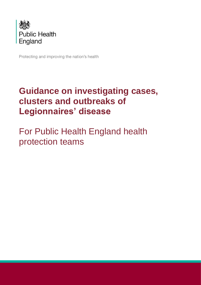

Protecting and improving the nation's health

# **Guidance on investigating cases, clusters and outbreaks of Legionnaires' disease**

For Public Health England health protection teams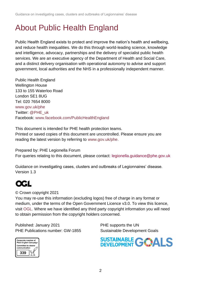## <span id="page-1-0"></span>About Public Health England

Public Health England exists to protect and improve the nation's health and wellbeing, and reduce health inequalities. We do this through world-leading science, knowledge and intelligence, advocacy, partnerships and the delivery of specialist public health services. We are an executive agency of the Department of Health and Social Care, and a distinct delivery organisation with operational autonomy to advise and support government, local authorities and the NHS in a professionally independent manner.

Public Health England Wellington House 133 to 155 Waterloo Road London SE1 8UG Tel: 020 7654 8000 [www.gov.uk/phe](http://www.gov.uk/phe) Twitter: [@PHE\\_uk](https://twitter.com/PHE_uk) Facebook: [www.facebook.com/PublicHealthEngland](http://www.facebook.com/PublicHealthEngland)

This document is intended for PHE health protection teams. Printed or saved copies of this document are uncontrolled. Please ensure you are reading the latest version by referring to [www.gov.uk/phe.](http://www.gov.uk/phe)

Prepared by: PHE Legionella Forum For queries relating to this document, please contact: [legionella.guidance@phe.gov.uk](mailto:legionella.guidance@phe.gov.uk)

Guidance on investigating cases, clusters and outbreaks of Legionnaires' disease. Version 1.3

# **OGL**

© Crown copyright 2021

You may re-use this information (excluding logos) free of charge in any format or medium, under the terms of the Open Government Licence v3.0. To view this licence, visit [OGL.](https://www.nationalarchives.gov.uk/doc/open-government-licence/version/3/) Where we have identified any third party copyright information you will need to obtain permission from the copyright holders concerned.

Published: January 2021 PHE supports the UN PHE Publications number: GW-1855 Sustainable Development Goals

Corporate member of **Plain English Campaign** Committed to clearer communication 339

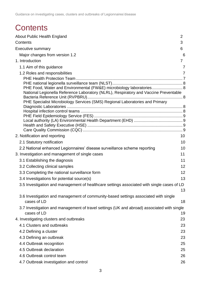## <span id="page-2-0"></span>**Contents**

| <b>About Public Health England</b><br>$\overline{2}$                                                                                                         |                |
|--------------------------------------------------------------------------------------------------------------------------------------------------------------|----------------|
| Contents<br>3                                                                                                                                                |                |
| <b>Executive summary</b><br>6                                                                                                                                |                |
| Major changes from version 1.2<br>6                                                                                                                          |                |
| 1. Introduction<br>$\overline{7}$                                                                                                                            |                |
| 1.1 Aim of this guidance                                                                                                                                     | 7              |
| 1.2 Roles and responsibilities                                                                                                                               | $\overline{7}$ |
|                                                                                                                                                              |                |
|                                                                                                                                                              |                |
| PHE Food, Water and Environmental (FW&E) microbiology laboratories 8<br>National Legionella Reference Laboratory (NLRL), Respiratory and Vaccine Preventable |                |
|                                                                                                                                                              |                |
| PHE Specialist Microbiology Services (SMS) Regional Laboratories and Primary                                                                                 |                |
|                                                                                                                                                              |                |
|                                                                                                                                                              |                |
|                                                                                                                                                              |                |
|                                                                                                                                                              |                |
|                                                                                                                                                              |                |
| 2. Notification and reporting<br>10                                                                                                                          |                |
| 2.1 Statutory notification<br>10                                                                                                                             |                |
| 2.2 National enhanced Legionnaires' disease surveillance scheme reporting<br>10                                                                              |                |
| 3. Investigation and management of single cases<br>11                                                                                                        |                |
| 3.1 Establishing the diagnosis<br>11                                                                                                                         |                |
| 3.2 Collecting clinical samples<br>12                                                                                                                        |                |
| 3.3 Completing the national surveillance form<br>12                                                                                                          |                |
| 3.4 Investigations for potential source(s)<br>13                                                                                                             |                |
| 3.5 Investigation and management of healthcare settings associated with single cases of LD<br>13                                                             |                |
| 3.6 Investigation and management of community-based settings associated with single                                                                          |                |
| cases of LD<br>18                                                                                                                                            |                |
| 3.7 Investigation and management of travel settings (UK and abroad) associated with single<br>cases of LD<br>19                                              |                |
| 4. Investigating clusters and outbreaks<br>23                                                                                                                |                |
| 4.1 Clusters and outbreaks<br>23                                                                                                                             |                |
| 4.2 Defining a cluster<br>23                                                                                                                                 |                |
| 4.3 Defining an outbreak<br>23                                                                                                                               |                |
| 4.4 Outbreak recognition<br>25                                                                                                                               |                |
| 4.5 Outbreak declaration<br>25                                                                                                                               |                |
| 4.6 Outbreak control team<br>26                                                                                                                              |                |
| 4.7 Outbreak investigation and control<br>26                                                                                                                 |                |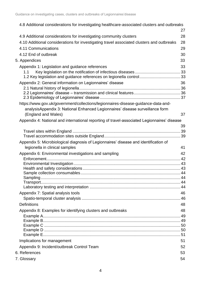[4.8 Additional considerations for investigating healthcare-associated clusters and outbreaks](#page-26-0)

|                                                                                             | 27 |
|---------------------------------------------------------------------------------------------|----|
| 4.9 Additional considerations for investigating community clusters                          | 28 |
| 4.10 Additional considerations for investigating travel associated clusters and outbreaks   | 28 |
| 4.11 Communications                                                                         | 29 |
| 4.12 End of outbreak                                                                        | 30 |
| 5. Appendices                                                                               | 33 |
| Appendix 1: Legislation and guidance references                                             | 33 |
| 1.1                                                                                         |    |
| Appendix 2: General information on Legionnaires' disease                                    | 36 |
|                                                                                             |    |
|                                                                                             |    |
| https://www.gov.uk/government/collections/legionnaires-disease-guidance-data-and-           |    |
| analysisAppendix 3: National Enhanced Legionnaires' disease surveillance form               |    |
| (England and Wales)                                                                         | 37 |
| Appendix 4: National and international reporting of travel-associated Legionnaires' disease |    |
|                                                                                             | 39 |
|                                                                                             |    |
|                                                                                             |    |
| Appendix 5: Microbiological diagnosis of Legionnaires' disease and identification of        |    |
| legionella in clinical samples                                                              | 41 |
| Appendix 6: Environmental investigations and sampling                                       | 42 |
|                                                                                             |    |
|                                                                                             |    |
|                                                                                             |    |
|                                                                                             |    |
|                                                                                             |    |
| Appendix 7: Spatial analysis tools                                                          | 46 |
|                                                                                             |    |
| <b>Definitions</b>                                                                          | 48 |
| Appendix 8: Examples for identifying clusters and outbreaks                                 | 48 |
|                                                                                             |    |
|                                                                                             |    |
|                                                                                             |    |
|                                                                                             |    |
| Implications for management                                                                 | 51 |
| Appendix 9: Incident/outbreak Control Team                                                  | 52 |
| 6. References                                                                               | 53 |
| 7. Glossary                                                                                 | 54 |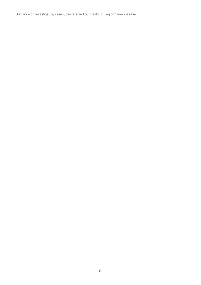Guidance on investigating cases, clusters and outbreaks of Legionnaires'disease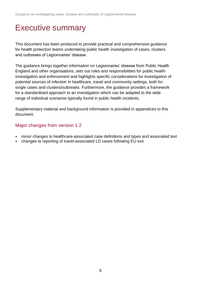## <span id="page-5-0"></span>Executive summary

This document has been produced to provide practical and comprehensive guidance for health protection teams undertaking public health investigation of cases, clusters and outbreaks of Legionnaires' disease.

The guidance brings together information on Legionnaires' disease from Public Health England and other organisations, sets out roles and responsibilities for public health investigation and enforcement and highlights specific considerations for investigation of potential sources of infection in healthcare, travel and community settings, both for single cases and clusters/outbreaks. Furthermore, the guidance provides a framework for a standardised approach to an investigation which can be adapted to the wide range of individual scenarios typically found in public health incidents.

Supplementary material and background information is provided in appendices to this document.

## <span id="page-5-1"></span>Major changes from version 1.2

- minor changes to healthcare-associated case definitions and types and associated text
- changes to reporting of travel-associated LD cases following EU exit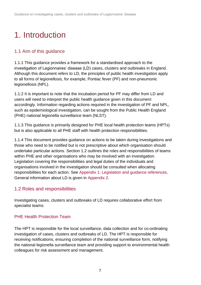# <span id="page-6-0"></span>1. Introduction

## <span id="page-6-1"></span>1.1 Aim of this guidance

1.1.1 This guidance provides a framework for a standardised approach to the investigation of Legionnaires' disease (LD) cases, clusters and outbreaks in England. Although this document refers to LD, the principles of public health investigation apply to all forms of legionellosis, for example, Pontiac fever (PF) and non-pneumonic legionellosis (NPL).

1.1.2 It is important to note that the incubation period for PF may differ from LD and users will need to interpret the public health guidance given in this document accordingly. Information regarding actions required in the investigation of PF and NPL, such as epidemiological investigation, can be sought from the Public Health England (PHE) national legionella surveillance team (NLST).

1.1.3 This guidance is primarily designed for PHE local health protection teams (HPTs) but is also applicable to all PHE staff with health protection responsibilities.

1.1.4 This document provides guidance on actions to be taken during investigations and those who need to be notified but is not prescriptive about which organisation should undertake particular actions. Section 1.2 outlines the roles and responsibilities of teams within PHE and other organisations who may be involved with an investigation. Legislation covering the responsibilities and legal duties of the individuals and organisations involved in the investigation should be consulted when allocating responsibilities for each action. See Appendix 1: [Legislation and guidance references.](#page-32-1) General information about LD is given in [Appendix 2.](#page-35-0)

## <span id="page-6-2"></span>1.2 Roles and responsibilities

Investigating cases, clusters and outbreaks of LD requires collaborative effort from specialist teams:

## <span id="page-6-3"></span>PHE Health Protection Team

The HPT is responsible for the local surveillance, data collection and for co-ordinating investigation of cases, clusters and outbreaks of LD. The HPT is responsible for receiving notifications, ensuring completion of the national surveillance form, notifying the national legionella surveillance team and providing support to environmental health colleagues for risk assessment and management.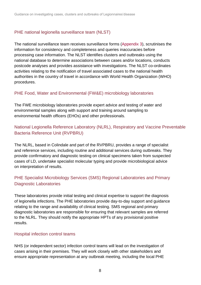#### <span id="page-7-0"></span>PHE national legionella surveillance team (NLST)

The national surveillance team receives surveillance forms [\(Appendix 3\)](#page-37-0), scrutinises the information for consistency and completeness and queries inaccuracies before processing case information. The NLST identifies clusters and outbreaks using the national database to determine associations between cases and/or locations, conducts postcode analyses and provides assistance with investigations. The NLST co-ordinates activities relating to the notification of travel associated cases to the national health authorities in the country of travel in accordance with World Health Organization (WHO) procedures.

#### <span id="page-7-1"></span>PHE Food, Water and Environmental (FW&E) microbiology laboratories

The FWE microbiology laboratories provide expert advice and testing of water and environmental samples along with support and training around sampling to environmental health officers (EHOs) and other professionals.

## <span id="page-7-2"></span>National Legionella Reference Laboratory (NLRL), Respiratory and Vaccine Preventable Bacteria Reference Unit (RVPBRU)

The NLRL, based in Colindale and part of the RVPBRU, provides a range of specialist and reference services, including routine and additional services during outbreaks. They provide confirmatory and diagnostic testing on clinical specimens taken from suspected cases of LD, undertake specialist molecular typing and provide microbiological advice on interpretation of results.

## <span id="page-7-3"></span>PHE Specialist Microbiology Services (SMS) Regional Laboratories and Primary Diagnostic Laboratories

These laboratories provide initial testing and clinical expertise to support the diagnosis of legionella infections. The PHE laboratories provide day-to-day support and guidance relating to the range and availability of clinical testing. SMS regional and primary diagnostic laboratories are responsible for ensuring that relevant samples are referred to the NLRL. They should notify the appropriate HPTs of any provisional positive results.

#### <span id="page-7-4"></span>Hospital infection control teams

NHS (or independent sector) infection control teams will lead on the investigation of cases arising in their premises. They will work closely with other stakeholders and ensure appropriate representation at any outbreak meeting, including the local PHE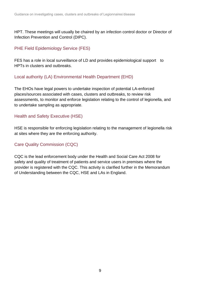HPT. These meetings will usually be chaired by an infection control doctor or Director of Infection Prevention and Control (DIPC).

### <span id="page-8-0"></span>PHE Field Epidemiology Service (FES)

FES has a role in local surveillance of LD and provides epidemiological support to HPTs in clusters and outbreaks.

#### <span id="page-8-1"></span>Local authority (LA) Environmental Health Department (EHD)

The EHOs have legal powers to undertake inspection of potential LA-enforced places/sources associated with cases, clusters and outbreaks, to review risk assessments, to monitor and enforce legislation relating to the control of legionella, and to undertake sampling as appropriate.

### <span id="page-8-2"></span>Health and Safety Executive (HSE)

HSE is responsible for enforcing legislation relating to the management of legionella risk at sites where they are the enforcing authority.

### <span id="page-8-3"></span>Care Quality Commission (CQC)

CQC is the lead enforcement body under the Health and Social Care Act 2008 for safety and quality of treatment of patients and service users in premises where the provider is registered with the CQC. This activity is clarified further in the [Memorandum](http://www.hse.gov.uk/aboutus/howwework/framework/mou/mou-cqc-hse-la.pdf)  [of Understanding](http://www.hse.gov.uk/aboutus/howwework/framework/mou/mou-cqc-hse-la.pdf) between the CQC, HSE and LAs in England.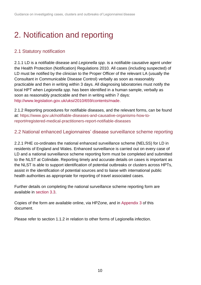# <span id="page-9-0"></span>2. Notification and reporting

## <span id="page-9-1"></span>2.1 Statutory notification

2.1.1 LD is a notifiable disease and *Legionella spp.* is a notifiable causative agent under the Health Protection (Notification) Regulations 2010. All cases (including suspected) of LD must be notified by the clinician to the Proper Officer of the relevant LA (usually the Consultant in Communicable Disease Control) verbally as soon as reasonably practicable and then in writing within 3 days. All diagnosing laboratories must notify the local HPT when *Legionella spp.* has been identified in a human sample, verbally as soon as reasonably practicable and then in writing within 7 days: [http://www.legislation.gov.uk/uksi/2010/659/contents/made.](http://www.legislation.gov.uk/uksi/2010/659/contents/made)

2.1.2 Reporting procedures for notifiable diseases, and the relevant forms, can be found at: [https://www.gov.uk/notifiable-diseases-and-causative-organisms-how-to](https://www.gov.uk/notifiable-diseases-and-causative-organisms-how-to-report#registered-medical-practitioners-report-notifiable-diseases)[report#registered-medical-practitioners-report-notifiable-diseases](https://www.gov.uk/notifiable-diseases-and-causative-organisms-how-to-report#registered-medical-practitioners-report-notifiable-diseases)

### <span id="page-9-2"></span>2.2 National enhanced Legionnaires' disease surveillance scheme reporting

2.2.1 PHE co-ordinates the national enhanced surveillance scheme (NELSS) for LD in residents of England and Wales. Enhanced surveillance is carried out on every case of LD and a national surveillance scheme reporting form must be completed and submitted to the NLST at Colindale. Reporting timely and accurate details on cases is important as the NLST is able to support identification of potential outbreaks or clusters across HPTs, assist in the identification of potential sources and to liaise with international public health authorities as appropriate for reporting of travel associated cases.

Further details on completing the national surveillance scheme reporting form are available in [section 3.3.](#page-11-1)

Copies of the form are [available online,](https://www.gov.uk/government/publications/legionnaires-disease-national-surveillance-scheme) via HPZone, and in [Appendix 3](#page-37-0) of this document.

Please refer to section 1.1.2 in relation to other forms of Legionella infection.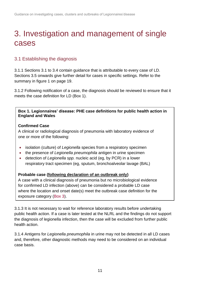## <span id="page-10-0"></span>3. Investigation and management of single cases

## <span id="page-10-1"></span>3.1 Establishing the diagnosis

3.1.1 Sections 3.1 to 3.4 contain guidance that is attributable to every case of LD. Sections 3.5 onwards give further detail for cases in specific settings. Refer to the summary in figure 1 on page 19.

3.1.2 Following notification of a case, the diagnosis should be reviewed to ensure that it meets the case definition for LD (Box 1).

#### **Box 1. Legionnaires' disease: PHE case definitions for public health action in England and Wales**

#### **Confirmed Case**

A clinical or radiological diagnosis of pneumonia with laboratory evidence of one or more of the following:

- isolation (culture) of *Legionella* species from a respiratory specimen
- the presence of *Legionella pneumophila* antigen in urine specimen
- detection of *Legionella spp.* nucleic acid (eg, by PCR) in a lower respiratory tract specimen (eg, sputum, bronchoalveolar lavage (BAL)

#### **Probable case (following declaration of an outbreak only)**

A case with a clinical diagnosis of pneumonia but no microbiological evidence for confirmed LD infection (above) can be considered a probable LD case where the location and onset date(s) meet the outbreak case definition for the exposure category [\(Box 3\)](#page-23-0).

3.1.3 It is not necessary to wait for reference laboratory results before undertaking public health action. If a case is later tested at the NLRL and the findings do not support the diagnosis of legionella infection, then the case will be excluded from further public health action.

3.1.4 Antigens for *Legionella pneumophila* in urine may not be detected in all LD cases and, therefore, other diagnostic methods may need to be considered on an individual case basis.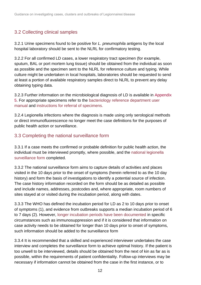## <span id="page-11-0"></span>3.2 Collecting clinical samples

3.2.1 Urine specimens found to be positive for *L. pneumophila* antigens by the local hospital laboratory should be sent to the NLRL for confirmatory testing.

3.2.2 For all confirmed LD cases, a lower respiratory tract specimen (for example, sputum, BAL or port mortem lung tissue) should be obtained from the individual as soon as possible and the specimen sent to the NLRL for reference culture and typing. While culture might be undertaken in local hospitals, laboratories should be requested to send at least a portion of available respiratory samples direct to NLRL to prevent any delay obtaining typing data.

3.2.3 Further information on the microbiological diagnosis of LD is available in [Appendix](#page-40-0)  [5.](#page-40-0) For appropriate specimens refer to the [bacteriology reference department user](https://www.gov.uk/government/publications/bacteriology-reference-department-brd-user-manual)  [manual](https://www.gov.uk/government/publications/bacteriology-reference-department-brd-user-manual) and [instructions for referral of specimens.](http://www.gov.uk/government/publications/legionnaires-disease-referral-of-specimens-for-confirmation)

3.2.4 Legionella infections where the diagnosis is made using only serological methods or direct immunofluorescence no longer meet the case definitions for the purposes of public health action or surveillance.

#### <span id="page-11-1"></span>3.3 Completing the national surveillance form

3.3.1 If a case meets the confirmed or probable definition for public health action, the individual must be interviewed promptly, where possible, and the [national legionella](https://www.gov.uk/government/publications/legionnaires-disease-national-surveillance-scheme)  [surveillance form](https://www.gov.uk/government/publications/legionnaires-disease-national-surveillance-scheme) completed.

3.3.2 The national surveillance form aims to capture details of activities and places visited in the 10 days prior to the onset of symptoms (herein referred to as the 10 day history) and form the basis of investigations to identify a potential source of infection. The case history information recorded on the form should be as detailed as possible and include names, addresses, postcodes and, where appropriate, room numbers of sites stayed at or visited during the incubation period, along with dates.

3.3.3 The WHO has defined the incubation period for LD as 2 to 10 days prior to onset of symptoms (1), and evidence from outbreaks supports a median incubation period of 6 to 7 days (2). However, [longer incubation periods have been documented](https://www.ncbi.nlm.nih.gov/pmc/articles/PMC2730281/) in specific circumstances such as immunosuppression and if it is considered that information on case activity needs to be obtained for longer than 10 days prior to onset of symptoms, such information should be added to the surveillance form

3.3.4 It is recommended that a skilled and experienced interviewer undertakes the case interview and completes the surveillance form to achieve optimal history. If the patient is too unwell to be interviewed, details should be obtained from the next of kin as far as is possible, within the requirements of patient confidentiality. Follow-up interviews may be necessary if information cannot be obtained from the case in the first instance, or to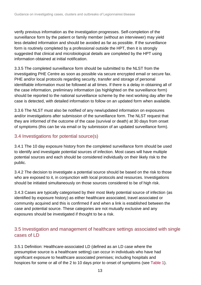verify previous information as the investigation progresses. Self-completion of the surveillance form by the patient or family member (without an interviewer) may yield less detailed information and should be avoided as far as possible. If the surveillance form is routinely completed by a professional outside the HPT, then it is strongly suggested that clinical and microbiological details are completed by the HPT using information obtained at initial notification.

3.3.5 The completed surveillance form should be submitted to the NLST from the investigating PHE Centre as soon as possible via secure encrypted email or secure fax. PHE and/or local protocols regarding security, transfer and storage of personal identifiable information must be followed at all times. If there is a delay in obtaining all of the case information, preliminary information (as highlighted on the surveillance form) should be reported to the national surveillance scheme by the next working day after the case is detected, with detailed information to follow on an updated form when available.

<span id="page-12-2"></span>3.3.6 The NLST must also be notified of any new/updated information on exposures and/or investigations after submission of the surveillance form. The NLST request that they are informed of the outcome of the case (survival or death) at 30 days from onset of symptoms (this can be via email or by submission of an updated surveillance form).

## <span id="page-12-0"></span>3.4 Investigations for potential source(s)

3.4.1 The 10 day exposure history from the completed surveillance form should be used to identify and investigate potential sources of infection. Most cases will have multiple potential sources and each should be considered individually on their likely risk to the public.

3.4.2 The decision to investigate a potential source should be based on the risk to those who are exposed to it, in conjunction with local protocols and resources. Investigations should be initiated simultaneously on those sources considered to be of high risk.

3.4.3 Cases are typically categorised by their most likely potential source of infection (as identified by exposure history) as either healthcare associated, travel associated or community acquired and this is confirmed if and when a link is established between the case and potential source. These categories are not mutually exclusive and any exposures should be investigated if thought to be a risk.

## <span id="page-12-1"></span>3.5 Investigation and management of healthcare settings associated with single cases of LD

3.5.1 Definition: Healthcare-associated LD (defined as an LD case where the presumptive source is a healthcare setting) can occur in individuals who have had significant exposure to healthcare associated premises; including hospitals and hospices for some or all of the 2 to 10 days prior to onset of symptoms (see [Table 1\)](#page-14-0).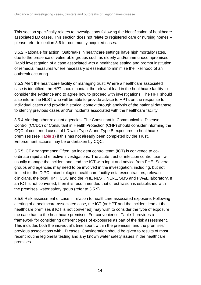This section specifically relates to investigations following the identification of healthcare associated LD cases. This section does not relate to registered care or nursing homes – please refer to section 3.6 for community acquired cases.

3.5.2 Rationale for action: Outbreaks in healthcare settings have high mortality rates, due to the presence of vulnerable groups such as elderly and/or immunocompromised. Rapid investigation of a case associated with a healthcare setting and prompt institution of remedial measures where necessary is essential to minimise the likelihood of an outbreak occurring.

3.5.3 Alert the healthcare facility or managing trust: Where a healthcare associated case is identified, the HPT should contact the relevant lead in the healthcare facility to consider the evidence and to agree how to proceed with investigations. The HPT should also inform the NLST who will be able to provide advice to HPTs on the response to individual cases and provide historical context through analysis of the national database to identify previous cases and/or incidents associated with the healthcare facility.

3.5.4 Alerting other relevant agencies: The Consultant in Communicable Disease Control (CCDC) or Consultant in Health Protection (CHP) should consider informing the CQC of confirmed cases of LD with Type A and Type B exposures to healthcare premises (see [Table](#page-14-0) 1) if this has not already been completed by the Trust. Enforcement actions may be undertaken by CQC.

3.5.5 ICT arrangements: Often, an incident control team (ICT) is convened to coordinate rapid and effective investigations. The acute trust or infection control team will usually manage the incident and lead the ICT with input and advice from PHE. Several groups and agencies may need to be involved in the investigation, including, but not limited to: the DIPC, microbiologist, healthcare facility estates/contractors, relevant clinicians, the local HPT, CQC and the PHE NLST, NLRL, SMS and FW&E laboratory. If an ICT is not convened, then it is recommended that direct liaison is established with the premises' water safety group (refer to 3.5.9).

3.5.6 Risk assessment of case in relation to healthcare associated exposure: Following alerting of a healthcare-associated case, the ICT (or HPT and the incident lead at the healthcare premises if ICT is not convened) may wish to consider the type of exposure the case had to the healthcare premises. For convenience, Table 1 provides a framework for considering different types of exposures as part of the risk assessment. This includes both the individual's time spent within the premises, and the premises' previous associations with LD cases. Consideration should be given to results of most recent routine legionella testing and any known water safety issues in the healthcare premises.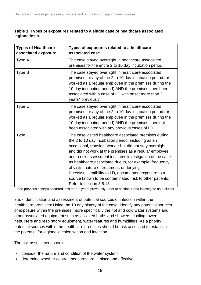#### <span id="page-14-0"></span>**Table 1. Types of exposures related to a single case of healthcare associated legionellosis**

| <b>Types of Healthcare</b><br>associated exposure | Types of exposures related to a healthcare<br>associated case                                                                                                                                                                                                                                                                                                                                                                                                                                                                                              |
|---------------------------------------------------|------------------------------------------------------------------------------------------------------------------------------------------------------------------------------------------------------------------------------------------------------------------------------------------------------------------------------------------------------------------------------------------------------------------------------------------------------------------------------------------------------------------------------------------------------------|
| Type A                                            | The case stayed overnight in healthcare associated<br>premises for the entire 2 to 10 day incubation period                                                                                                                                                                                                                                                                                                                                                                                                                                                |
| Type B                                            | The case stayed overnight in healthcare associated<br>premises for any of the 2 to 10 day incubation period (or<br>worked as a regular employee in the premises during the<br>10 day incubation period) AND the premises have been<br>associated with a case of LD with onset more than 2<br>years* previously                                                                                                                                                                                                                                             |
| Type C                                            | The case stayed overnight in healthcare associated<br>premises for any of the 2 to 10 day incubation period (or<br>worked as a regular employee in the premises during the<br>10 day incubation period) AND the premises have not<br>been associated with any previous cases of LD                                                                                                                                                                                                                                                                         |
| Type D                                            | The case visited healthcare associated premises during<br>the 2 to 10 day incubation period, including as an<br>occasional, transient worker but did not stay overnight<br>and did not work at the premises as a regular employee;<br>and a risk assessment indicates investigation of the case<br>as healthcare associated due to, for example, frequency<br>of visits, nature of treatment, underlying<br>illness/susceptibility to LD, documented exposure to a<br>source known to be contaminated, risk to other patients.<br>Refer to section 3.5.13. |

\*If the previous case(s) occurred less than 2 years previously, refer to section 4 and investigate as a cluster.

3.5.7 Identification and assessment of potential sources of infection within the healthcare premises: Using the 10 day history of the case, identify any potential sources of exposure within the premises; more specifically the hot and cold water systems and other associated equipment such as assisted baths and showers, cooling towers, nebulisers and respiratory equipment, water features and humidifiers. As a priority, potential sources within the healthcare premises should be risk assessed to establish the potential for legionella colonisation and infection.

The risk assessment should:

- consider the nature and condition of the water system
- determine whether control measures are in place and effective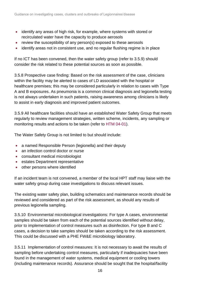- identify any areas of high risk, for example, where systems with stored or recirculated water have the capacity to produce aerosols
- review the susceptibility of any person(s) exposed to these aerosols
- identify areas not in consistent use, and no regular flushing regime is in place

If no ICT has been convened, then the water safety group (refer to 3.5.9) should consider the risk related to these potential sources as soon as possible.

3.5.8 Prospective case finding: Based on the risk assessment of the case, clinicians within the facility may be alerted to cases of LD associated with the hospital or healthcare premises; this may be considered particularly in relation to cases with Type A and B exposures. As pneumonia is a common clinical diagnosis and legionella testing is not always undertaken in such patients, raising awareness among clinicians is likely to assist in early diagnosis and improved patient outcomes.

3.5.9 All healthcare facilities should have an established Water Safety Group that meets regularly to review management strategies, written scheme, incidents, any sampling or monitoring results and actions to be taken (refer to [HTM 04-01\)](https://www.gov.uk/government/publications/hot-and-cold-water-supply-storage-and-distribution-systems-for-healthcare-premises).

The Water Safety Group is not limited to but should include:

- a named Responsible Person (legionella) and their deputy
- an infection control doctor or nurse
- consultant medical microbiologist
- estates Department representative
- other persons where identified

If an incident team is not convened, a member of the local HPT staff may liaise with the water safety group during case investigations to discuss relevant issues.

The existing water safety plan, building schematics and maintenance records should be reviewed and considered as part of the risk assessment, as should any results of previous legionella sampling.

3.5.10 Environmental microbiological investigations: For type A cases, environmental samples should be taken from each of the potential sources identified without delay, prior to implementation of control measures such as disinfection. For type B and C cases, a decision to take samples should be taken according to the risk assessment. This could be discussed with a PHE FW&E microbiology laboratory.

3.5.11 Implementation of control measures: It is not necessary to await the results of sampling before undertaking control measures, particularly if inadequacies have been found in the management of water systems, medical equipment or cooling towers (including maintenance records). Assurance should be sought that the hospital/facility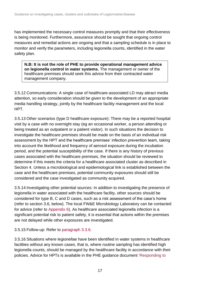has implemented the necessary control measures promptly and that their effectiveness is being monitored. Furthermore, assurance should be sought that ongoing control measures and remedial actions are ongoing and that a sampling schedule is in place to monitor and verify the parameters, including legionella counts, identified in the water safety plan.

**N.B: It is not the role of PHE to provide operational management advice on legionella control in water systems.** The management or owner of the healthcare premises should seek this advice from their contracted water management company.

3.5.12 Communications: A single case of healthcare-associated LD may attract media attention, so early consideration should be given to the development of an appropriate media handling strategy, jointly by the healthcare facility management and the local HPT.

3.5.13 Other scenarios (type D healthcare exposure): There may be a reported hospital visit by a case with no overnight stay (eg an occasional worker, a person attending or being treated as an outpatient or a patient visitor). In such situations the decision to investigate the healthcare premises should be made on the basis of an individual risk assessment by the HPT and the healthcare premises' infection prevention team, taking into account the likelihood and frequency of aerosol exposure during the incubation period, and the potential susceptibility of the case. If there is any history of previous cases associated with the healthcare premises, the situation should be reviewed to determine if this meets the criteria for a healthcare associated cluster as described in Section 4. Unless a microbiological and epidemiological link is established between the case and the healthcare premises, potential community exposures should still be considered and the case investigated as community acquired.

3.5.14 Investigating other potential sources*:* In addition to investigating the presence of legionella in water associated with the healthcare facility, other sources should be considered for type B, C and D cases, such as a risk assessment of the case's home (refer to section 3.6, below). The local FW&E Microbiology Laboratory can be contacted for advice (refer to [Appendix 6\)](#page-41-0). As healthcare associated legionella infection is a significant potential risk to patient safety, it is essential that actions within the premises are not delayed while other exposures are investigated.

3.5.15 Follow-up: Refer to [paragraph 3.3.6.](#page-12-2)

3.5.16 Situations where legionellae have been identified in water systems in healthcare facilities without any known cases, that is, where routine sampling has identified high legionella counts, should be managed by the healthcare facility in accordance with their policies. Advice for HPTs is available in the PHE guidance document ['Responding to](https://www.gov.uk/government/publications/legionella-detection-in-healthcare-premises)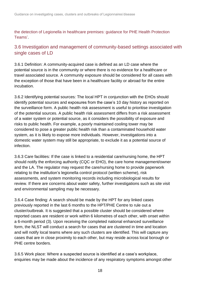[the detection of Legionella in healthcare premises: guidance for PHE Health Protection](https://www.gov.uk/government/publications/legionella-detection-in-healthcare-premises)  [Teams'](https://www.gov.uk/government/publications/legionella-detection-in-healthcare-premises).

## <span id="page-17-0"></span>3.6 Investigation and management of community-based settings associated with single cases of LD

3.6.1 Definition: A community-acquired case is defined as an LD case where the potential source is in the community or where there is no evidence for a healthcare or travel associated source. A community exposure should be considered for all cases with the exception of those that have been in a healthcare facility or abroad for the entire incubation.

3.6.2 Identifying potential sources*:* The local HPT in conjunction with the EHOs should identify potential sources and exposures from the case's 10 day history as reported on the surveillance form. A public health risk assessment is useful to prioritise investigation of the potential sources. A public health risk assessment differs from a risk assessment of a water system or potential source, as it considers the possibility of exposure and risks to public health. For example, a poorly maintained cooling tower may be considered to pose a greater public health risk than a contaminated household water system, as it is likely to expose more individuals. However, investigations into a domestic water system may still be appropriate, to exclude it as a potential source of infection.

3.6.3 Care facilities*:* If the case is linked to a residential care/nursing home, the HPT should notify the enforcing authority (CQC or EHO), the care home management/owner and the LA. The regulator may request the care/nursing home to provide paperwork relating to the institution's legionella control protocol (written scheme), risk assessments, and system monitoring records including microbiological results for review. If there are concerns about water safety, further investigations such as site visit and environmental sampling may be necessary.

3.6.4 Case finding: A search should be made by the HPT for any linked cases previously reported in the last 6 months to the HPT/PHE Centre to rule out a cluster/outbreak. It is suggested that a possible cluster should be considered where reported cases are resident or work within 6 kilometres of each other, with onset within a 6-month period (3). Upon receiving the completed national enhanced surveillance form, the NLST will conduct a search for cases that are clustered in time and location and will notify local teams where any such clusters are identified. This will capture any cases that are in close proximity to each other, but may reside across local borough or PHE centre borders.

3.6.5 Work place: Where a suspected source is identified at a case's workplace, enquiries may be made about the incidence of any respiratory symptoms amongst other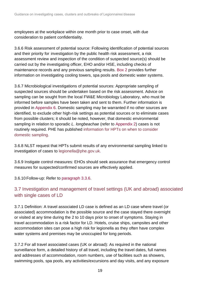employees at the workplace within one month prior to case onset, with due consideration to patient confidentiality.

3.6.6 Risk assessment of potential source: Following identification of potential sources and their priority for investigation by the public health risk assessment, a risk assessment review and inspection of the condition of suspected source(s) should be carried out by the investigating officer, EHO and/or HSE, including checks of maintenance records and any previous sampling results. [Box 2](#page-20-0) provides further information on investigating cooling towers, spa pools and domestic water systems.

3.6.7 Microbiological investigations of potential sources: Appropriate sampling of suspected sources should be undertaken based on the risk assessment. Advice on sampling can be sought from the local FW&E Microbiology Laboratory, who must be informed before samples have been taken and sent to them. Further information is provided in [Appendix](#page-41-0) 6. Domestic sampling may be warranted if no other sources are identified, to exclude other high-risk settings as potential sources or to eliminate cases from possible clusters; it should be noted, however, that domestic environmental sampling in relation to sporadic *L. longbeachae* (refer to [Appendix 2\)](#page-35-0) cases is not routinely required. PHE has published [information for HPTs on when to consider](https://www.gov.uk/government/publications/legionnaires-disease-investigation-of-household-water-systems)  [domestic sampling.](https://www.gov.uk/government/publications/legionnaires-disease-investigation-of-household-water-systems)

3.6.8 NLST request that HPTs submit results of any environmental sampling linked to investigation of cases to [legionella@phe.gov.uk.](mailto:legionella@phe.gov.uk)

3.6.9 Instigate control measures*:* EHOs should seek assurance that emergency control measures for suspected/confirmed sources are effectively applied.

3.6.10 Follow-up: Refer to [paragraph 3.3.6.](#page-12-2)

## <span id="page-18-0"></span>3.7 Investigation and management of travel settings (UK and abroad) associated with single cases of LD

3.7.1 Definition: A travel associated LD case is defined as an LD case where travel (or associated) accommodation is the possible source and the case stayed there overnight or visited at any time during the 2 to 10 days prior to onset of symptoms. Staying in travel accommodation is a risk factor for LD. Hotels, cruise ships, campsites and other accommodation sites can pose a high risk for legionella as they often have complex water systems and premises may be unoccupied for long periods.

3.7.2 For all travel associated cases (UK or abroad): As required in the national surveillance form, a detailed history of all travel, including the travel dates, full names and addresses of accommodation, room numbers, use of facilities such as showers, swimming pools, spa pools, any activities/excursions and day visits, and any exposure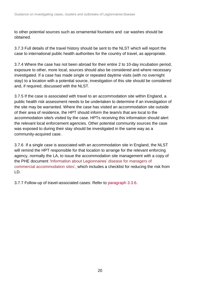to other potential sources such as ornamental fountains and car washes should be obtained.

3.7.3 Full details of the travel history should be sent to the NLST which will report the case to international public health authorities for the country of travel, as appropriate.

3.7.4 Where the case has not been abroad for their entire 2 to 10-day incubation period, exposure to other, more local, sources should also be considered and where necessary investigated. If a case has made single or repeated daytime visits (with no overnight stay) to a location with a potential source, investigation of this site should be considered and, if required, discussed with the NLST.

3.7.5 If the case is associated with travel to an accommodation site within England, a public health risk assessment needs to be undertaken to determine if an investigation of the site may be warranted. Where the case has visited an accommodation site outside of their area of residence, the HPT should inform the team/s that are local to the accommodation site/s visited by the case. HPTs receiving this information should alert the relevant local enforcement agencies. Other potential community sources the case was exposed to during their stay should be investigated in the same way as a community-acquired case.

3.7.6 If a single case is associated with an accommodation site in England, the NLST will remind the HPT responsible for that location to arrange for the relevant enforcing agency, normally the LA, to issue the accommodation site management with a copy of the PHE document ['Information about Legionnaires'](https://www.gov.uk/government/publications/report-a-site-investigation-for-travel-associated-legionnaires-disease) disease for managers of [commercial accommodation](https://www.gov.uk/government/publications/report-a-site-investigation-for-travel-associated-legionnaires-disease) sites', which includes a checklist for reducing the risk from LD.

3.7.7 Follow-up of travel-associated cases: Refer to [paragraph 3.3.6.](#page-12-2)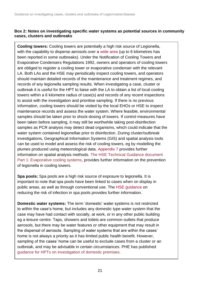#### <span id="page-20-0"></span>**Box 2: Notes on investigating specific water systems as potential sources in community cases, clusters and outbreaks**

**Cooling towers:** Cooling towers are potentially a high risk source of Legionella, with the capability to disperse aerosols over a [wide area](http://jid.oxfordjournals.org/content/193/1/102.full) (up to 6 kilometres has been reported in some outbreaks). Under the Notification of Cooling Towers and Evaporative Condensers Regulations 1992, owners and operators of cooling towers are obliged to register a cooling tower or evaporative condenser with the relevant LA. Both LAs and the HSE may periodically inspect cooling towers, and operators should maintain detailed records of the maintenance and treatment regimes, and records of any legionella sampling results. When investigating a case, cluster or outbreak it is useful for the HPT to liaise with the LA to obtain a list of local cooling towers within a 6 kilometre radius of case(s) and records of any recent inspections to assist with the investigation and prioritise sampling. If there is no previous information, cooling towers should be visited by the local EHOs or HSE to inspect maintenance records and assess the water system. Where feasible, environmental samples should be taken prior to shock-dosing of towers. If control measures have been taken before sampling, it may still be worthwhile taking post-disinfection samples as PCR analysis may detect dead organisms, which could indicate that the water system contained legionellae prior to disinfection. During cluster/outbreak investigations, Geographical Information Systems (GIS) and spatial analysis tools can be used to model and assess the risk of cooling towers, eg by modelling the plumes produced using meteorological data. [Appendix 7](#page-44-0) provides further information on spatial analysis methods. [The HSE Technical Guidance document](http://www.hse.gov.uk/pubns/priced/hsg274part1.pdf)  [Part 1: Evaporative cooling systems,](http://www.hse.gov.uk/pubns/priced/hsg274part1.pdf) provides further information on the prevention of legionella in cooling towers.

**Spa pools:** Spa pools are a high risk source of exposure to legionella*.* It is important to note that spa pools have been linked to cases when on display in public areas, as well as through conventional use. The [HSE guidance](http://www.hse.gov.uk/legionnaires/spa-pools.htm) on reducing the risk of infection in spa pools provides further information.

**Domestic water systems:** The term 'domestic' water systems is not restricted to within the case's home, but includes any domestic type water system that the case may have had contact with socially, at work, or in any other public building eg a leisure centre. Taps, showers and toilets are common outlets that produce aerosols, but there may be water features or other equipment that may result in the dispersal of aerosols. Sampling of water systems that are within the cases' home is not always a priority as it has limited public health benefit. However, sampling of the cases' home can be useful to exclude cases from a cluster or an outbreak, and may be advisable in certain circumstances. PHE has published [guidance for HPTs on investigation of domestic premises.](https://www.gov.uk/government/publications/legionnaires-disease-investigation-of-household-water-systems)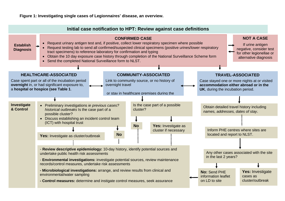Figure 1: Investigating single cases of Legionnaires' disease, an overview.

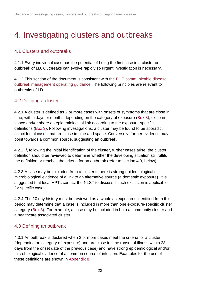# <span id="page-22-0"></span>4. Investigating clusters and outbreaks

## <span id="page-22-1"></span>4.1 Clusters and outbreaks

4.1.1 Every individual case has the potential of being the first case in a cluster or outbreak of LD. Outbreaks can evolve rapidly so urgent investigation is necessary.

4.1.2 This section of the document is consistent with the [PHE communicable disease](https://www.gov.uk/government/publications/communicable-disease-outbreak-management-operational-guidance)  outbreak [management operating guidance.](https://www.gov.uk/government/publications/communicable-disease-outbreak-management-operational-guidance) The following principles are relevant to outbreaks of LD.

## <span id="page-22-2"></span>4.2 Defining a cluster

4.2.1 A cluster is defined as 2 or more cases with onsets of symptoms that are close in time, within days or months depending on the category of exposure [\(Box 3\)](#page-23-0), close in space and/or share an epidemiological link according to the exposure-specific definitions [\(Box 3\)](#page-23-0). Following investigations, a cluster may be found to be sporadic, coincidental cases that are close in time and space. Conversely, further evidence may point towards a common source, suggesting an outbreak.

4.2.2 If, following the initial identification of the cluster, further cases arise, the cluster definition should be reviewed to determine whether the developing situation still fulfils the definition or reaches the criteria for an outbreak (refer to section 4.3, below).

4.2.3 A case may be excluded from a cluster if there is strong epidemiological or microbiological evidence of a link to an alternative source (a domestic exposure). It is suggested that local HPTs contact the NLST to discuss if such exclusion is applicable for specific cases.

4.2.4 The 10 day history must be reviewed as a whole as exposures identified from this period may determine that a case is included in more than one exposure-specific cluster category [\(Box 3\)](#page-23-0). For example, a case may be included in both a community cluster and a healthcare associated cluster.

## <span id="page-22-3"></span>4.3 Defining an outbreak

4.3.1 An outbreak is declared when 2 or more cases meet the criteria for a cluster (depending on category of exposure) and are close in time (onset of illness within 28 days from the onset date of the previous case) and have strong epidemiological and/or microbiological evidence of a common source of infection. Examples for the use of these definitions are shown in [Appendix 8.](#page-46-0)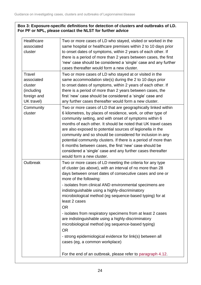#### <span id="page-23-0"></span>**Box 3: Exposure-specific definitions for detection of clusters and outbreaks of LD. For PF or NPL, please contact the NLST for further advice**

| Healthcare  | Two or more cases of LD who stayed, visited or worked in the    |
|-------------|-----------------------------------------------------------------|
| associated  | same hospital or healthcare premises within 2 to 10 days prior  |
| cluster     | to onset dates of symptoms, within 2 years of each other. If    |
|             | there is a period of more than 2 years between cases, the first |
|             | 'new' case should be considered a 'single' case and any further |
|             | cases thereafter would form a new cluster.                      |
| Travel      | Two or more cases of LD who stayed at or visited in the         |
| associated  | same accommodation site(s) during the 2 to 10 days prior        |
| cluster     | to onset dates of symptoms, within 2 years of each other. If    |
| (including  | there is a period of more than 2 years between cases, the       |
| foreign and | first 'new' case should be considered a 'single' case and       |
| UK travel)  | any further cases thereafter would form a new cluster.          |
| Community   | Two or more cases of LD that are geographically linked within   |
| cluster     | 6 kilometres, by places of residence, work, or other type of    |
|             | community setting, and with onset of symptoms within 6          |
|             | months of each other. It should be noted that UK travel cases   |
|             | are also exposed to potential sources of legionella in the      |
|             | community and so should be considered for inclusion in any      |
|             | potential community clusters. If there is a period of more than |
|             | 6 months between cases, the first 'new' case should be          |
|             | considered a 'single' case and any further cases thereafter     |
|             | would form a new cluster.                                       |
| Outbreak    | Two or more cases of LD meeting the criteria for any type       |
|             | of cluster (as above), with an interval of no more than 28      |
|             | days between onset dates of consecutive cases and one or        |
|             | more of the following:                                          |
|             | - isolates from clinical AND environmental specimens are        |
|             | indistinguishable using a highly-discriminatory                 |
|             | microbiological method (eg sequence-based typing) for at        |
|             | least 2 cases                                                   |
|             | <b>OR</b>                                                       |
|             | - isolates from respiratory specimens from at least 2 cases     |
|             | are indistinguishable using a highly-discriminatory             |
|             | microbiological method (eg sequence-based typing)               |
|             | <b>OR</b>                                                       |
|             |                                                                 |
|             | - strong epidemiological evidence for link(s) between all       |
|             | cases (eg, a common workplace)                                  |
|             |                                                                 |
|             | For the end of an outbreak, please refer to paragraph 4.12.     |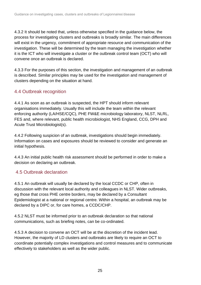4.3.2 It should be noted that, unless otherwise specified in the guidance below, the process for investigating clusters and outbreaks is broadly similar. The main differences will exist in the urgency, commitment of appropriate resource and communication of the investigation. These will be determined by the team managing the investigation whether it is the ICT who will investigate a cluster or the outbreak control team (OCT) who will convene once an outbreak is declared.

4.3.3 For the purposes of this section, the investigation and management of an outbreak is described. Similar principles may be used for the investigation and management of clusters depending on the situation at hand.

## <span id="page-24-0"></span>4.4 Outbreak recognition

4.4.1 As soon as an outbreak is suspected, the HPT should inform relevant organisations immediately. Usually this will include the team within the relevant enforcing authority (LA/HSE/CQC), PHE FW&E microbiology laboratory, NLST, NLRL, FES and, where relevant, public health microbiologist, NHS England, CCG, DPH and Acute Trust Microbiologist(s).

4.4.2 Following suspicion of an outbreak, investigations should begin immediately. Information on cases and exposures should be reviewed to consider and generate an initial hypothesis.

4.4.3 An initial public health risk assessment should be performed in order to make a decision on declaring an outbreak.

## <span id="page-24-1"></span>4.5 Outbreak declaration

4.5.1 An outbreak will usually be declared by the local CCDC or CHP, often in discussion with the relevant local authority and colleagues in NLST. Wider outbreaks, eg those that cross PHE centre borders, may be declared by a Consultant Epidemiologist at a national or regional centre. Within a hospital, an outbreak may be declared by a DIPC or, for care homes, a CCDC/CHP.

4.5.2 NLST must be informed prior to an outbreak declaration so that national communications, such as briefing notes, can be co-ordinated.

4.5.3 A decision to convene an OCT will be at the discretion of the incident lead. However, the majority of LD clusters and outbreaks are likely to require an OCT to coordinate potentially complex investigations and control measures and to communicate effectively to stakeholders as well as the wider public.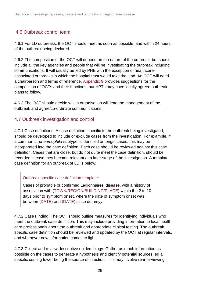## <span id="page-25-0"></span>4.6 Outbreak control team

4.6.1 For LD outbreaks, the OCT should meet as soon as possible, and within 24 hours of the outbreak being declared.

4.6.2 The composition of the OCT will depend on the nature of the outbreak, but should include all the key agencies and people that will be investigating the outbreak including communications. It will usually be led by PHE with the exception of healthcareassociated outbreaks in which the hospital trust would take the lead. An OCT will need a chairperson and terms of reference. [Appendix 9](#page-51-1) provides suggestions for the composition of OCTs and their functions, but HPTs may have locally agreed outbreak plans to follow.

4.6.3 The OCT should decide which organisation will lead the management of the outbreak and agree/co-ordinate communications.

### <span id="page-25-1"></span>4.7 Outbreak investigation and control

4.7.1 Case definitions: A case definition, specific to the outbreak being investigated, should be developed to include or exclude cases from the investigation. For example, if a common *L. pneumophila* subtype is identified amongst cases, this may be incorporated into the case definition. Each case should be reviewed against this case definition. Cases that are close, but do not quite meet the case definition, should be recorded in case they become relevant at a later stage of the investigation. A template case definition for an outbreak of LD is below:

#### Outbreak specific case definition template:

Cases of probable or confirmed Legionnaires' disease, with a history of association with (TOWN/REGION/BUILDING/PLACE) within the 2 to 10 days prior to symptom onset, where the date of symptom onset was between (DATE) and (DATE) since ddmmyy

4.7.2 Case Finding: The OCT should outline measures for identifying individuals who meet the outbreak case definition. This may include providing information to local health care professionals about the outbreak and appropriate clinical testing. The outbreak specific case definition should be reviewed and updated by the OCT at regular intervals, and whenever new information comes to light.

4.7.3 Collect and review descriptive epidemiology: Gather as much information as possible on the cases to generate a hypothesis and identify potential sources, eg a specific cooling tower being the source of infection. This may involve re-interviewing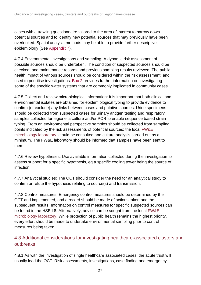cases with a trawling questionnaire tailored to the area of interest to narrow down potential sources and to identify new potential sources that may previously have been overlooked. Spatial analysis methods may be able to provide further descriptive epidemiology (See [Appendix 7\)](#page-44-0).

4.7.4 Environmental investigations and sampling: A dynamic risk assessment of possible sources should be undertaken. The condition of suspected sources should be checked, and maintenance records and previous sampling results reviewed. The public health impact of various sources should be considered within the risk assessment, and used to prioritise investigations. [Box 2](#page-20-0) provides further information on investigating some of the specific water systems that are commonly implicated in community cases.

4.7.5 Collect and review microbiological information: It is important that both clinical and environmental isolates are obtained for epidemiological typing to provide evidence to confirm (or exclude) any links between cases and putative sources. Urine specimens should be collected from suspected cases for urinary antigen testing and respiratory samples collected for legionella culture and/or PCR to enable sequence based strain typing. From an environmental perspective samples should be collected from sampling points indicated by the risk assessments of potential sources; the local [FW&E](https://www.gov.uk/government/collections/food-water-and-environmental-laboratories)  [microbiology laboratory](https://www.gov.uk/government/collections/food-water-and-environmental-laboratories) should be consulted and culture analysis carried out as a minimum. The FW&E laboratory should be informed that samples have been sent to them.

4.7.6 Review hypotheses: Use available information collected during the investigation to assess support for a specific hypothesis, eg a specific cooling tower being the source of infection.

4.7.7 Analytical studies: The OCT should consider the need for an analytical study to confirm or refute the hypothesis relating to source(s) and transmission.

4.7.8 Control measures: Emergency control measures should be determined by the OCT and implemented, and a record should be made of actions taken and the subsequent results. Information on control measures for specific suspected sources can be found in the HSE L8. Alternatively, advice can be sought from the local [FW&E](https://www.gov.uk/government/collections/food-water-and-environmental-laboratories) [microbiology laboratory.](https://www.gov.uk/government/collections/food-water-and-environmental-laboratories) While protection of public health remains the highest priority, every effort should be made to undertake environmental sampling prior to control measures being taken.

## <span id="page-26-0"></span>4.8 Additional considerations for investigating healthcare-associated clusters and outbreaks

4.8.1 As with the investigation of single healthcare associated cases, the acute trust will usually lead the OCT. Risk assessments, investigations, case finding and emergency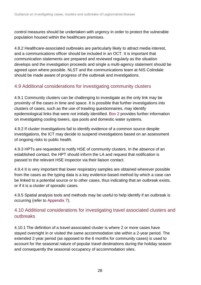control measures should be undertaken with urgency in order to protect the vulnerable population housed within the healthcare premises.

4.8.2 Healthcare-associated outbreaks are particularly likely to attract media interest, and a communications officer should be included in an OCT. It is important that communication statements are prepared and reviewed regularly as the situation develops and the investigation proceeds and single a multi-agency statement should be agreed upon where possible. NLST and the communications team at NIS Colindale should be made aware of progress of the outbreak and investigations.

## <span id="page-27-0"></span>4.9 Additional considerations for investigating community clusters

4.9.1 Community clusters can be challenging to investigate as the only link may be proximity of the cases in time and space. It is possible that further investigations into clusters of cases, such as the use of trawling questionnaires, may identify epidemiological links that were not initially identified. [Box 2](#page-20-0) provides further information on investigating cooling towers, spa pools and domestic water systems.

4.9.2 If cluster investigations fail to identify evidence of a common source despite investigations, the ICT may decide to suspend investigations based on an assessment of ongoing risks to public health.

4.9.3 HPTs are requested to notify HSE of community clusters. In the absence of an established contact, the HPT should inform the LA and request that notification is passed to the relevant HSE inspector via their liaison contact.

4.9.4 It is very important that lower respiratory samples are obtained wherever possible from the cases as the typing data is a key evidence-based method by which a case can be linked to a potential source or to other cases, thus indicating that an outbreak exists, or if it is a cluster of sporadic cases.

4.9.5 Spatial analysis tools and methods may be useful to help identify if an outbreak is occurring (refer to [Appendix 7\)](#page-44-0).

## <span id="page-27-1"></span>4.10 Additional considerations for investigating travel associated clusters and outbreaks

4.10.1 The definition of a travel-associated cluster is where 2 or more cases have stayed overnight in or visited the same accommodation site within a 2-year period. The extended 2-year period (as opposed to the 6 months for community cases) is used to account for the seasonal nature of popular travel destinations during the holiday season and consequently the seasonal occupancy of accommodation sites.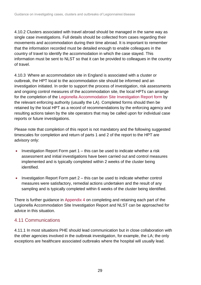4.10.2 Clusters associated with travel abroad should be managed in the same way as single case investigations. Full details should be collected from cases regarding their movements and accommodation during their time abroad. It is important to remember that the information recorded must be detailed enough to enable colleagues in the country of travel to identify the accommodation in which the case stayed. This information must be sent to NLST so that it can be provided to colleagues in the country of travel.

4.10.3 Where an accommodation site in England is associated with a cluster or outbreak, the HPT local to the accommodation site should be informed and an investigation initiated. In order to support the process of investigation, risk assessments and ongoing control measures of the accommodation site, the local HPTs can arrange for the completion of the [Legionella Accommodation Site Investigation Report form](https://www.gov.uk/government/publications/report-a-site-investigation-for-travel-associated-legionnaires-disease) by the relevant enforcing authority (usually the LA). Completed forms should then be retained by the local HPT as a record of recommendations by the enforcing agency and resulting actions taken by the site operators that may be called upon for individual case reports or future investigations.

Please note that completion of this report is not mandatory and the following suggested timescales for completion and return of parts 1 and 2 of the report to the HPT are advisory only:

- [Investigation Report Form part](https://www.gov.uk/government/uploads/system/uploads/attachment_data/file/518471/Form_A_Dec2015__v2_.doc)  $1 -$  this can be used to indicate whether a risk assessment and initial investigations have been carried out and control measures implemented and is typically completed within 2 weeks of the cluster being identified.
- Investigation Report Form part 2 this can be used to indicate whether control measures were satisfactory, remedial actions undertaken and the result of any sampling and is typically completed within 6 weeks of the cluster being identified.

There is further guidance in [Appendix 4](#page-38-0) on completing and retaining each part of the Legionella Accommodation Site Investigation Report and NLST can be approached for advice in this situation.

## <span id="page-28-0"></span>4.11 Communications

4.11.1 In most situations PHE should lead communication but in close collaboration with the other agencies involved in the outbreak investigation, for example, the LA; the only exceptions are healthcare associated outbreaks where the hospital will usually lead.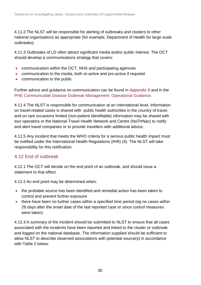4.11.2 The NLST will be responsible for alerting of outbreaks and clusters to other national organisations as appropriate (for example, Department of Health for large scale outbreaks).

4.11.3 Outbreaks of LD often attract significant media and/or public interest. The OCT should develop a communications strategy that covers:

- communication within the OCT, NHS and participating agencies
- communication to the media, both re-active and pro-active if required
- communication to the public

Further advice and guidance on communication can be found in [Appendix 8](#page-46-0) and in the [PHE Communicable Disease Outbreak Management: Operational Guidance.](https://www.gov.uk/government/uploads/system/uploads/attachment_data/file/343723/12_8_2014_CD_Outbreak_Guidance_REandCT_2__2_.pdf)

4.11.4 The NLST is responsible for communication at an international level. Information on travel-related cases is shared with public health authorities in the country of travel, and on rare occasions limited (non-patient identifiable) information may be shared with tour operators or the National Travel Health Network and Centre (NaTHNac) to notify and alert travel companies or to provide travellers with additional advice.

4.11.5 Any incident that meets the WHO criteria for a serious public health impact must be notified under the International Health Regulations (IHR) (4). The NLST will take responsibility for this notification.

## <span id="page-29-0"></span>4.12 End of outbreak

4.12.1 The OCT will decide on the end point of an outbreak, and should issue a statement to that effect.

4.12.2 An end point may be determined when:

- the probable source has been identified and remedial action has been taken to control and prevent further exposure
- there have been no further cases within a specified time period (eg no cases within 28 days after the onset date of the last reported case or since control measures were taken)

4.12.3 A summary of the incident should be submitted to NLST to ensure that all cases associated with the incidents have been reported and linked to the cluster or outbreak and logged on the national database. The information supplied should be sufficient to allow NLST to describe observed associations with potential source(s) in accordance with Table 2 below: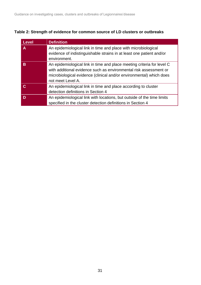## **Table 2: Strength of evidence for common source of LD clusters or outbreaks**

| <b>Level</b>   | <b>Definition</b>                                                      |
|----------------|------------------------------------------------------------------------|
| $\overline{A}$ | An epidemiological link in time and place with microbiological         |
|                | evidence of indistinguishable strains in at least one patient and/or   |
|                | environment.                                                           |
| B              | An epidemiological link in time and place meeting criteria for level C |
|                | with additional evidence such as environmental risk assessment or      |
|                | microbiological evidence (clinical and/or environmental) which does    |
|                | not meet Level A.                                                      |
| $\mathbf C$    | An epidemiological link in time and place according to cluster         |
|                | detection definitions in Section 4                                     |
| D              | An epidemiological link with locations, but outside of the time limits |
|                | specified in the cluster detection definitions in Section 4            |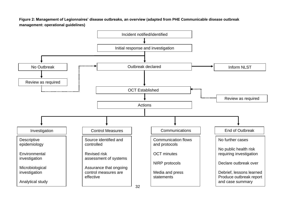**Figure 2: Management of Legionnaires' disease outbreaks, an overview (adapted from PHE Communicable disease outbreak management: operational guidelines)**

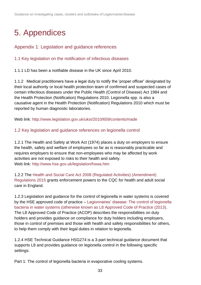# <span id="page-32-0"></span>5. Appendices

## <span id="page-32-1"></span>Appendix 1: Legislation and guidance references

<span id="page-32-2"></span>1.1 Key legislation on the notification of infectious diseases

1.1.1 LD has been a notifiable disease in the UK since April 2010.

1.1.2 Medical practitioners have a legal duty to notify the 'proper officer' designated by their local authority or local health protection team of confirmed and suspected cases of certain infectious diseases under the Public Health (Control of Disease) Act 1984 and the Health Protection (Notification) Regulations 2010. Legionella spp. is also a causative agent in the Health Protection (Notification) Regulations 2010 which must be reported by human diagnostic laboratories.

Web link:<http://www.legislation.gov.uk/uksi/2010/659/contents/made>

<span id="page-32-3"></span>1.2 Key legislation and guidance references on legionella control

1.2.1 The Health and Safety at Work Act (1974) places a duty on employers to ensure the health, safety and welfare of employees so far as is reasonably practicable and requires employers to ensure that non-employees who may be affected by work activities are not exposed to risks to their health and safety. Web link: <http://www.hse.gov.uk/legislation/hswa.htm>

1.2.2 The [Health and Social Care Act 2008 \(Regulated Activities\) \(Amendment\)](http://www.legislation.gov.uk/uksi/2015/64/pdfs/uksi_20150064_en.pdf)  [Regulations 2015](http://www.legislation.gov.uk/uksi/2015/64/pdfs/uksi_20150064_en.pdf) grants enforcement powers to the CQC for health and adult social care in England.

1.2.3 Legislation and guidance for the control of legionella in water systems is covered by the HSE approved code of practice – [Legionnaires' disease: The control of legionella](http://www.hse.gov.uk/pubns/books/l8.htm)  [bacteria in water systems \(otherwise known as L8 Approved Code of Practice \(2013\).](http://www.hse.gov.uk/pubns/books/l8.htm) The L8 Approved Code of Practice (ACOP) describes the responsibilities on duty holders and provides guidance on compliance for duty holders including employers, those in control of premises and those with health and safety responsibilities for others, to help them comply with their legal duties in relation to legionella.

1.2.4 HSE Technical Guidance HSG274 is a 3-part technical guidance document that supports L8 and provides guidance on legionella control in the following specific settings:

Part 1: The control of legionella bacteria in evaporative cooling systems.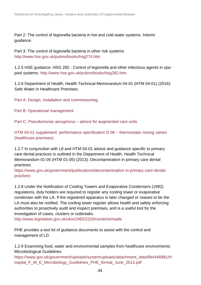Part 2: The control of legionella bacteria in hot and cold water systems. Interim guidance.

Part 3: The control of legionella bacteria in other risk systems <http://www.hse.gov.uk/pubns/books/hsg274.htm>

1.2.5 HSE guidance: HSG 282 - Control of legionella and other infectious agents in spapool systems. [http://www.hse.gov.uk/pubns/books/hsg282.htm.](http://www.hse.gov.uk/pubns/books/hsg282.htm)

1.2.6 Department of Health, Health Technical Memorandum 04-01 (HTM 04-01) (2016): Safe Water in Healthcare Premises.

[Part A: Design, installation and commissioning](https://www.gov.uk/government/uploads/system/uploads/attachment_data/file/524880/DH_HTM_0401_PART_A_acc.pdf)

[Part B: Operational management](https://www.gov.uk/government/uploads/system/uploads/attachment_data/file/524882/DH_HTM_0401_PART_B_acc.pdf)

Part C: *Pseudomonas aeruginosa* – [advice for augmented care units](https://www.gov.uk/government/uploads/system/uploads/attachment_data/file/524884/DH_HTM_0401_PART_C_acc.pdf)

[HTM 04-01 supplement: performance specification D 08 –](https://www.gov.uk/government/uploads/system/uploads/attachment_data/file/449153/Health_technical_memorandum_D08_acc.pdf) thermostatic mixing valves [\(healthcare premises\)](https://www.gov.uk/government/uploads/system/uploads/attachment_data/file/449153/Health_technical_memorandum_D08_acc.pdf)

1.2.7 In conjunction with L8 and HTM 04-01 advice and guidance specific to primary care dental practices is outlined in the Department of Health, Health Technical Memorandum 01-05 (HTM 01-05) (2013): Decontamination in primary care dental practices.

[https://www.gov.uk/government/publications/decontamination-in-primary-care-dental](https://www.gov.uk/government/publications/decontamination-in-primary-care-dental-practices)[practices](https://www.gov.uk/government/publications/decontamination-in-primary-care-dental-practices)

1.2.8 Under the Notification of Cooling Towers and Evaporative Condensers (1992) regulations, duty holders are required to register any cooling tower or evaporative condenser with the LA. If the registered apparatus is later changed or ceases to be the LA must also be notified. The cooling tower register allows health and safety enforcing authorities to proactively audit and inspect premises, and is a useful tool for the investigation of cases, clusters or outbreaks.

<http://www.legislation.gov.uk/uksi/1992/2225/contents/made>

PHE provides a tool kit of guidance documents to assist with the control and management of LD.

1.2.9 Examining food, water and environmental samples from healthcare environments: Microbiological Guidelines

[https://www.gov.uk/government/uploads/system/uploads/attachment\\_data/file/446981/H](https://www.gov.uk/government/uploads/system/uploads/attachment_data/file/446981/Hospital_F_W_E_Microbiology_Guidelines_PHE_format_June_2013.pdf) [ospital\\_F\\_W\\_E\\_Microbiology\\_Guidelines\\_PHE\\_format\\_June\\_2013.pdf](https://www.gov.uk/government/uploads/system/uploads/attachment_data/file/446981/Hospital_F_W_E_Microbiology_Guidelines_PHE_format_June_2013.pdf)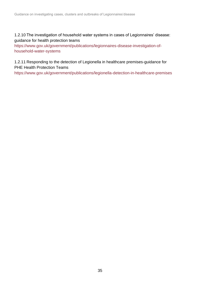1.2.10 The investigation of household water systems in cases of Legionnaires' disease: guidance for health protection teams

[https://www.gov.uk/government/publications/legionnaires-disease-investigation-of](https://www.gov.uk/government/publications/legionnaires-disease-investigation-of-household-water-systems)[household-water-systems](https://www.gov.uk/government/publications/legionnaires-disease-investigation-of-household-water-systems)

1.2.11 Responding to the detection of Legionella in healthcare premises-guidance for PHE Health Protection Teams

<https://www.gov.uk/government/publications/legionella-detection-in-healthcare-premises>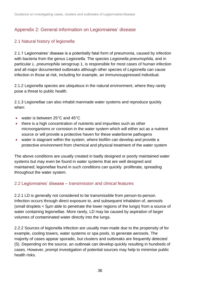## <span id="page-35-0"></span>Appendix 2: General information on Legionnaires' disease

### <span id="page-35-1"></span>2.1 Natural history of legionella

2.1.1 Legionnaires' disease is a potentially fatal form of pneumonia, caused by infection with bacteria from the genus *Legionella*. The species *Legionella pneumophila,* and in particular *L. pneumophila* serogroup 1, is responsible for most cases of human infection and all major documented outbreaks although other species of *Legionella* can cause infection in those at risk, including for example, an immunosuppressed individual.

2.1.2 Legionella species are ubiquitous in the natural environment, where they rarely pose a threat to public health.

2.1.3 Legionellae can also inhabit manmade water systems and reproduce quickly when:

- water is between 25°C and 45°C
- there is a high concentration of nutrients and impurities such as other microorganisms or corrosion in the water system which will either act as a nutrient source or will provide a protective haven for these waterborne pathogens
- water is stagnant within the system, where biofilm can develop and provide a protective environment from chemical and physical treatment of the water system

The above conditions are usually created in badly designed or poorly maintained water systems but may even be found in water systems that are well designed and maintained; legionellae found in such conditions can quickly proliferate, spreading throughout the water system.

#### <span id="page-35-2"></span>2.2 Legionnaires' disease – transmission and clinical features

2.2.1 LD is generally not considered to be transmissible from person-to-person. Infection occurs through direct exposure to, and subsequent inhalation of, aerosols (small droplets < 5µm able to penetrate the lower regions of the lungs) from a source of water containing legionellae. More rarely, LD may be caused by aspiration of larger volumes of contaminated water directly into the lungs.

2.2.2 Sources of legionella infection are usually man-made due to the propensity of for example, cooling towers, water systems or spa pools, to generate aerosols. The majority of cases appear sporadic, but clusters and outbreaks are frequently detected (5). Depending on the source, an outbreak can develop quickly resulting in hundreds of cases. However, prompt investigation of potential sources may help to minimise public health risks.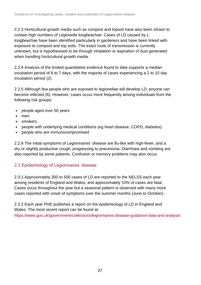2.2.3 Horticultural growth media such as compost and topsoil have also been shown to contain high numbers of *Legionella longbeachae*. Cases of LD caused by *L. longbeachae* have been identified particularly in gardeners and have been linked with exposure to compost and top soils. The exact route of transmission is currently unknown, but is hypothesised to be through inhalation or aspiration of dust generated when handling horticultural growth media.

2.2.4 Analysis of the limited quantitative evidence found to date supports a median incubation period of 6 to 7 days, with the majority of cases experiencing a 2 to 10 day incubation period (2).

2.2.5 Although few people who are exposed to legionellae will develop LD, anyone can become infected (6). However, cases occur more frequently among individuals from the following risk groups:

- people aged over 50 years
- men
- smokers
- people with underlying medical conditions (eg heart disease, COPD, diabetes)
- people who are immunocompromised

2.2.6 The initial symptoms of Legionnaires' disease are flu-like with high-fever, and a dry or slightly productive cough, progressing to pneumonia. Diarrhoea and vomiting are also reported by some patients. Confusion or memory problems may also occur.

#### <span id="page-36-0"></span>2.3 Epidemiology of Legionnaires' disease

2.3.1 Approximately 300 to 500 cases of LD are reported to the NELSS each year among residents of England and Wales, and approximately 10% of cases are fatal. Cases occur throughout the year but a seasonal pattern is observed with many more cases reported with onset of symptoms over the summer months (June to October).

<span id="page-36-1"></span>2.3.2 Each year PHE publishes a report on the epidemiology of LD in England and Wales. The most recent report can be found at: <https://www.gov.uk/government/collections/legionnaires-disease-guidance-data-and-analysis>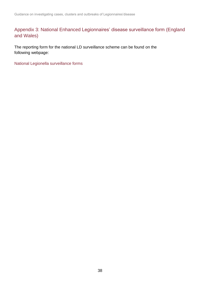## <span id="page-37-0"></span>Appendix 3: National Enhanced Legionnaires' disease surveillance form (England and Wales)

The reporting form for the national LD surveillance scheme can be found on the following webpage:

[National Legionella surveillance forms](https://www.gov.uk/government/publications/legionnaires-disease-national-surveillance-scheme)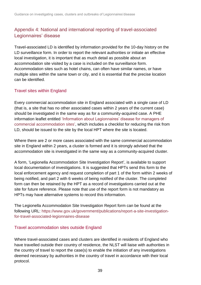## <span id="page-38-0"></span>Appendix 4: National and international reporting of travel-associated Legionnaires' disease

Travel-associated LD is identified by information provided for the 10-day history on the LD surveillance form. In order to report the relevant authorities or initiate an effective local investigation, it is important that as much detail as possible about an accommodation site visited by a case is included on the surveillance form. Accommodation sites such as hotel chains, can often have similar names, or have multiple sites within the same town or city, and it is essential that the precise location can be identified.

#### <span id="page-38-1"></span>Travel sites within England

Every commercial accommodation site in England associated with a single case of LD (that is, a site that has no other associated cases within 2 years of the current case) should be investigated in the same way as for a community-acquired case. A PHE information leaflet entitled ['Information about Legionnaires' disease for managers of](https://www.gov.uk/government/publications/report-a-site-investigation-for-travel-associated-legionnaires-disease)  [commercial accommodation](https://www.gov.uk/government/publications/report-a-site-investigation-for-travel-associated-legionnaires-disease) sites', which includes a checklist for reducing the risk from LD, should be issued to the site by the local HPT where the site is located.

Where there are 2 or more cases associated with the same commercial accommodation site in England within 2 years, a cluster is formed and it is strongly advised that the accommodation site is investigated in the same way as a community-acquired cluster.

A form, 'Legionella Accommodation Site Investigation Report', is available to support local documentation of investigations. It is suggested that HPTs send this form to the local enforcement agency and request completion of part 1 of the form within 2 weeks of being notified, and part 2 with 6 weeks of being notified of the cluster. The completed form can then be retained by the HPT as a record of investigations carried out at the site for future reference. Please note that use of the report form is not mandatory as HPTs may have alternative systems to record this information.

The Legionella Accommodation Site Investigation Report form can be found at the following URL: [https://www.gov.uk/government/publications/report-a-site-investigation](https://www.gov.uk/government/publications/report-a-site-investigation-for-travel-associated-legionnaires-disease)[for-travel-associated-legionnaires-disease](https://www.gov.uk/government/publications/report-a-site-investigation-for-travel-associated-legionnaires-disease)

#### <span id="page-38-2"></span>Travel accommodation sites outside England

Where travel-associated cases and clusters are identified in residents of England who have travelled outside their country of residence, the NLST will liaise with authorities in the country of travel to report the case(s) to enable the initiation of any investigations deemed necessary by authorities in the country of travel in accordance with their local protocol.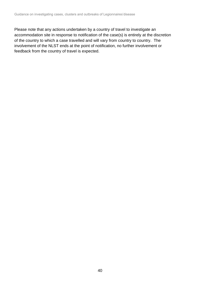Please note that any actions undertaken by a country of travel to investigate an accommodation site in response to notification of the case(s) is entirely at the discretion of the country to which a case travelled and will vary from country to country. The involvement of the NLST ends at the point of notification, no further involvement or feedback from the country of travel is expected.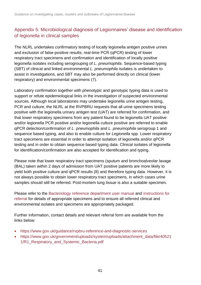## <span id="page-40-0"></span>Appendix 5: Microbiological diagnosis of Legionnaires' disease and identification of legionella in clinical samples

The NLRL undertakes confirmatory testing of locally legionella antigen positive urines and exclusion of false-positive results; real-time PCR (qPCR) testing of lower respiratory tract specimens and confirmation and identification of locally positive legionella isolates including serogrouping of *L*. *pneumophila*. Sequence-based typing (SBT) of clinical and linked environmental *L. pneumophila* isolates is undertaken to assist in investigations, and SBT may also be performed directly on clinical (lower respiratory) and environmental specimens (7).

Laboratory confirmation together with phenotypic and genotypic typing data is used to support or refute epidemiological links in the investigation of suspected environmental sources. Although local laboratories may undertake legionella urine antigen testing, PCR and culture, the NLRL at the RVPBRU requests that all urine specimens testing positive with the legionella urinary antigen test (UAT) are referred for confirmation, and that lower respiratory specimens from any patient found to be legionella UAT positive and/or legionella PCR positive and/or legionella culture positive are referred to enable qPCR detection/confirmation of *L. pneumophila* and *L. pneumophila* serogroup 1 and sequence based typing, and also to enable culture for *Legionella* spp. Lower respiratory tract specimens are essential in order to attempt isolation of legionella and/or qPCR testing and in order to obtain sequence based typing data. Clinical isolates of legionella for identification/confirmation are also accepted for identification and typing.

Please note that lower respiratory tract specimens (sputum and bronchoalveolar lavage (BAL) taken within 2 days of admission from UAT positive patients are more likely to yield both positive culture and qPCR results (8) and therefore typing data. However, it is not always possible to obtain lower respiratory tract specimens, in which cases urine samples should still be referred. Post-mortem lung tissue is also a suitable specimen.

Please refer to the [Bacteriology reference department](https://www.gov.uk/government/publications/bacteriology-reference-department-brd-user-manual) user manual and [instructions for](http://www.gov.uk/government/publications/legionnaires-disease-referral-of-specimens-for-confirmation)  [referral](http://www.gov.uk/government/publications/legionnaires-disease-referral-of-specimens-for-confirmation) for details of appropriate specimens and to ensure all referred clinical and environmental isolates and specimens are appropriately packaged.

Further information, contact details and relevant referral form are available from the links below:

- <https://www.gov.uk/guidance/rvpbru-reference-and-diagnostic-services>
- [https://www.gov.uk/government/uploads/system/uploads/attachment\\_data/file/40521](https://www.gov.uk/government/uploads/system/uploads/attachment_data/file/405211/R1_Respiratory_and_Systemic_Bacteria.pdf) [1/R1\\_Respiratory\\_and\\_Systemic\\_Bacteria.pdf](https://www.gov.uk/government/uploads/system/uploads/attachment_data/file/405211/R1_Respiratory_and_Systemic_Bacteria.pdf)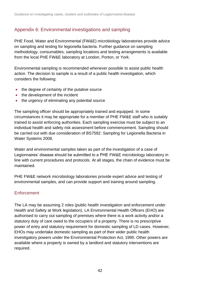## <span id="page-41-0"></span>Appendix 6: Environmental investigations and sampling

PHE Food, Water and Environmental (FW&E) microbiology laboratories provide advice on sampling and testing for legionella bacteria. Further guidance on sampling methodology, consumables, sampling locations and testing arrangements is available from the local PHE FW&E laboratory at London, Porton, or York.

Environmental sampling is recommended whenever possible to assist public health action. The decision to sample is a result of a public health investigation, which considers the following:

- the degree of certainty of the putative source
- the development of the incident
- the urgency of eliminating any potential source

The sampling officer should be appropriately trained and equipped. In some circumstances it may be appropriate for a member of PHE FW&E staff who is suitably trained to assist enforcing authorities. Each sampling exercise must be subject to an individual health and safety risk assessment before commencement. Sampling should be carried out with due consideration of BS7592: Sampling for Legionella Bacteria in Water Systems 2008.

Water and environmental samples taken as part of the investigation of a case of Legionnaires' disease should be submitted to a PHE FW&E microbiology laboratory in line with current procedures and protocols. At all stages, the chain of evidence must be maintained.

PHE FW&E network microbiology laboratories provide expert advice and testing of environmental samples, and can provide support and training around sampling.

#### <span id="page-41-1"></span>**Enforcement**

The LA may be assuming 2 roles (public health investigation and enforcement under Health and Safety at Work legislation). LA Environmental Health Officers (EHO) are authorised to carry out sampling of premises where there is a work activity and/or a statutory duty of care owed to the occupiers of a property. There is no prescriptive power of entry and statutory requirement for domestic sampling of LD cases. However, EHOs may undertake domestic sampling as part of their wider public health investigatory powers under the Environmental Protection Act, 1990. Other powers are available where a property is owned by a landlord and statutory interventions are required.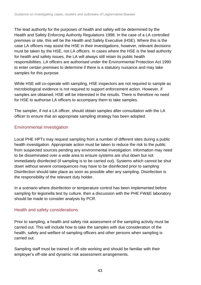The lead authority for the purposes of health and safety will be determined by the Health and Safety Enforcing Authority Regulations 1998. In the case of a LA controlled premises or site, this will be the Health and Safety Executive (HSE). Where this is the case LA officers may assist the HSE in their investigations, however, relevant decisions must be taken by the HSE, not LA officers. In cases where the HSE is the lead authority for health and safety issues, the LA will always still retain its public health responsibilities. LA officers are authorised under the Environmental Protection Act 1990 to enter certain premises to determine if there is a statutory nuisance and may take samples for this purpose.

While HSE will co-operate with sampling, HSE inspectors are not required to sample as microbiological evidence is not required to support enforcement action. However, if samples are obtained, HSE will be interested in the results. There is therefore no need for HSE to authorise LA officers to accompany them to take samples.

The sampler, if not a LA officer, should obtain samples after consultation with the LA officer to ensure that an appropriate sampling strategy has been adopted.

#### <span id="page-42-0"></span>Environmental Investigation

Local PHE HPTs may request sampling from a number of different sites during a public health investigation. Appropriate action must be taken to reduce the risk to the public from suspected sources pending any environmental investigation. Information may need to be disseminated over a wide area to ensure systems are shut down but not immediately disinfected (if sampling is to be carried out). Systems which cannot be shut down without severe consequences may have to be disinfected prior to sampling Disinfection should take place as soon as possible after any sampling. Disinfection is the responsibility of the relevant duty holder.

In a scenario where disinfection or temperature control has been implemented before sampling for legionella test by culture, then a discussion with the PHE FW&E laboratory should be made to consider analysis by PCR.

#### <span id="page-42-1"></span>Health and safety considerations

Prior to sampling, a health and safety risk assessment of the sampling activity must be carried out. This will include how to take the samples with due consideration of the health, safety and welfare of sampling officers and other persons when sampling is carried out.

Sampling staff must be trained in off-site working and should be familiar with their employer's off-site and dynamic risk assessment arrangements.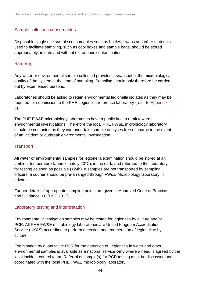#### <span id="page-43-0"></span>Sample collection consumables

Disposable single use sample consumables such as bottles, swabs and other materials used to facilitate sampling, such as cool boxes and sample bags, should be stored appropriately, in date and without extraneous contamination.

#### <span id="page-43-1"></span>Sampling

Any water or environmental sample collected provides a snapshot of the microbiological quality of the system at the time of sampling. Sampling should only therefore be carried out by experienced persons.

Laboratories should be asked to retain environmental legionella isolates as they may be required for submission to the PHE Legionella reference laboratory (refer to [Appendix](#page-40-0)  [5\)](#page-40-0).

The PHE FW&E microbiology laboratories have a public health remit towards environmental investigations. Therefore the local PHE FW&E microbiology laboratory should be contacted as they can undertake sample analyses free of charge in the event of an incident or outbreak environmental investigation.

#### <span id="page-43-2"></span>**Transport**

All water or environmental samples for legionella examination should be stored at an ambient temperature (approximately 20°C), in the dark, and returned to the laboratory for testing as soon as possible (<24h). If samples are not transported by sampling officers, a courier should be pre-arranged through FW&E Microbiology laboratory in advance.

Further details of appropriate sampling points are given in Approved Code of Practice and Guidance: L8 (HSE 2013).

#### <span id="page-43-3"></span>Laboratory testing and interpretation

Environmental investigation samples may be tested for legionella by culture and/or PCR. All PHE FW&E microbiology laboratories are United Kingdom Accreditation Service (UKAS) accredited to perform detection and enumeration of legionellae by culture.

Examination by quantitative PCR for the detection of Legionella in water and other environmental samples is available as a national service **only** where a need is agreed by the local incident control team. Referral of sample(s) for PCR testing must be discussed and coordinated with the local PHE FW&E microbiology laboratory.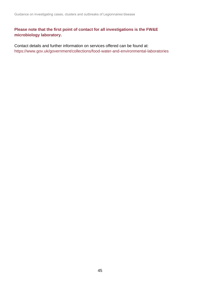#### **Please note that the first point of contact for all investigations is the FW&E microbiology laboratory.**

<span id="page-44-0"></span>Contact details and further information on services offered can be found at: <https://www.gov.uk/government/collections/food-water-and-environmental-laboratories>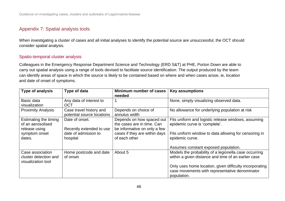## Appendix 7: Spatial analysis tools

When investigating a cluster of cases and all initial analyses to identify the potential source are unsuccessful, the OCT should consider spatial analysis.

#### Spatio-temporal cluster analysis

Colleagues in the Emergency Response Department Science and Technology (ERD S&T) at PHE, Porton Down are able to carry out spatial analysis using a range of tools devised to facilitate source identification. The output produced by the team can identify areas of space in which the source is likely to be contained based on where and when cases arose, ie, location and date of onset of symptoms.

<span id="page-45-1"></span><span id="page-45-0"></span>

| <b>Type of analysis</b>                                         | Type of data                                          | Minimum number of cases<br>needed                                                       | <b>Key assumptions</b>                                                                                                   |
|-----------------------------------------------------------------|-------------------------------------------------------|-----------------------------------------------------------------------------------------|--------------------------------------------------------------------------------------------------------------------------|
| Basic data<br>visualization                                     | Any data of interest to<br>OCT                        |                                                                                         | None, simply visualizing observed data.                                                                                  |
| <b>Proximity Analysis</b>                                       | Case travel history and<br>potential source locations | Depends on choice of<br>annulus width                                                   | No allowance for underlying population at risk                                                                           |
| Estimating the timing<br>of an aerosolised<br>release using     | Date of onset.<br>Recently extended to use            | Depends on how spaced out<br>the cases are in time. Can<br>be informative on only a few | Fits uniform and logistic release windows, assuming<br>epidemic curve is 'complete'.                                     |
| symptom onset<br>dates.                                         | date of admission to<br>hospital                      | cases if they are within days<br>of each other                                          | Fits uniform window to data allowing for censoring in<br>epidemic curve.                                                 |
|                                                                 |                                                       |                                                                                         | Assumes constant exposed population.                                                                                     |
| Case association<br>cluster detection and<br>visualization tool | Home postcode and date<br>of onset                    | About 5                                                                                 | Models the probability of a legionella case occurring<br>within a given distance and time of an earlier case             |
|                                                                 |                                                       |                                                                                         | Only uses home location, given difficulty incorporating<br>case movements with representative denominator<br>population. |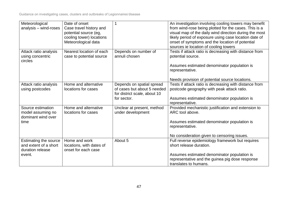Guidance on investigating cases, clusters and outbreaks of Legionnaires'disease

<span id="page-46-0"></span>

| Meteorological<br>analysis - wind-roses                                      | Date of onset<br>Case travel history and<br>potential source (eg,<br>cooling tower) locations<br>Meteorological data |                                                                                                         | An investigation involving cooling towers may benefit<br>from wind-rose being plotted for the cases. This is a<br>visual map of the daily wind direction during the most<br>likely period of exposure using case location date of<br>onset of symptoms and the location of potential<br>sources ie location of cooling towers |
|------------------------------------------------------------------------------|----------------------------------------------------------------------------------------------------------------------|---------------------------------------------------------------------------------------------------------|-------------------------------------------------------------------------------------------------------------------------------------------------------------------------------------------------------------------------------------------------------------------------------------------------------------------------------|
| Attack ratio analysis<br>using concentric<br>circles                         | Nearest location of each<br>case to potential source                                                                 | Depends on number of<br>annuli chosen                                                                   | Tests if attack ratio is decreasing with distance from<br>potential source.<br>Assumes estimated denominator population is<br>representative.<br>Needs provision of potential source locations.                                                                                                                               |
| Attack ratio analysis<br>using postcodes                                     | Home and alternative<br>locations for cases                                                                          | Depends on spatial spread<br>of cases but about 5 needed<br>for district scale, about 10<br>for sector. | Tests if attack ratio is decreasing with distance from<br>postcode geography with peak attack ratio.<br>Assumes estimated denominator population is<br>representative.                                                                                                                                                        |
| Source estimation<br>model assuming no<br>dominant wind over<br>time         | Home and alternative<br>locations for cases                                                                          | Unclear at present, method<br>under development                                                         | Provided mechanistic justification and extension to<br>ARC tool above.<br>Assumes estimated denominator population is<br>representative.<br>No consideration given to censoring issues.                                                                                                                                       |
| Estimating the source<br>and extent of a short<br>duration release<br>event. | Home and work<br>locations, with dates of<br>onset for each case                                                     | About 5                                                                                                 | Full reverse epidemiology framework but requires<br>short release duration.<br>Assumes estimated denominator population is<br>representative and the guinea pig dose response<br>translates to humans.                                                                                                                        |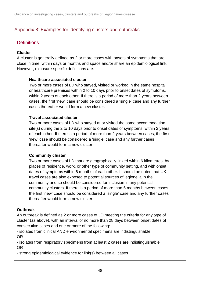## <span id="page-47-0"></span>Appendix 8: Examples for identifying clusters and outbreaks

#### **Definitions**

#### **Cluster**

A cluster is generally defined as 2 or more cases with onsets of symptoms that are close in time, within days or months and space and/or share an epidemiological link. However, exposure-specific definitions are:

#### **Healthcare-associated cluster**

Two or more cases of LD who stayed, visited or worked in the same hospital or healthcare premises within 2 to 10 days prior to onset dates of symptoms, within 2 years of each other. If there is a period of more than 2 years between cases, the first 'new' case should be considered a 'single' case and any further cases thereafter would form a new cluster.

#### **Travel-associated cluster**

Two or more cases of LD who stayed at or visited the same accommodation site(s) during the 2 to 10 days prior to onset dates of symptoms, within 2 years of each other. If there is a period of more than 2 years between cases, the first 'new' case should be considered a 'single' case and any further cases thereafter would form a new cluster.

#### **Community cluster**

Two or more cases of LD that are geographically linked within 6 kilometres, by places of residence, work, or other type of community setting, and with onset dates of symptoms within 6 months of each other. It should be noted that UK travel cases are also exposed to potential sources of legionella in the community and so should be considered for inclusion in any potential community clusters. If there is a period of more than 6 months between cases, the first 'new' case should be considered a 'single' case and any further cases thereafter would form a new cluster.

#### **Outbreak**

An outbreak is defined as 2 or more cases of LD meeting the criteria for any type of cluster (as above), with an interval of no more than 28 days between onset dates of consecutive cases and one or more of the following:

- isolates from clinical AND environmental specimens are indistinguishable OR

- isolates from respiratory specimens from at least 2 cases are indistinguishable OR

- strong epidemiological evidence for link(s) between all cases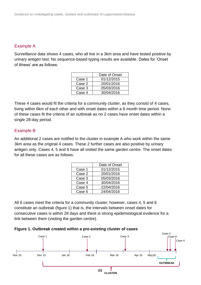#### <span id="page-48-0"></span>Example A

Surveillance data shows 4 cases, who all live in a 3km area and have tested positive by urinary antigen test. No sequence-based typing results are available. Dates for 'Onset of illness' are as follows:

|        | Date of Onset |
|--------|---------------|
| Case 1 | 01/12/2015    |
| Case 2 | 20/01/2016    |
| Case 3 | 05/03/2016    |
| Case 4 | 30/04/2016    |

These 4 cases would fit the criteria for a community cluster, as they consist of 4 cases, living within 6km of each other and with onset dates within a 6 month time period. None of these cases fit the criteria of an outbreak as no 2 cases have onset dates within a single 28-day period.

#### <span id="page-48-1"></span>Example B

An additional 2 cases are notified to the cluster in example A who work within the same 3km area as the original 4 cases. These 2 further cases are also positive by urinary antigen only. Cases 4, 5 and 6 have all visited the same garden centre. The onset dates for all these cases are as follows:

|        | Date of Onset |
|--------|---------------|
| Case 1 | 01/12/2015    |
| Case 2 | 20/01/2016    |
| Case 3 | 05/03/2016    |
| Case 4 | 30/04/2016    |
| Case 5 | 22/04/2016    |
| Case 6 | 24/04/2016    |

All 6 cases meet the criteria for a community cluster; however, cases 4, 5 and 6 constitute an outbreak (figure 1) that is, the intervals between onset dates for consecutive cases is within 28 days and there is strong epidemiological evidence for a link between them (visiting the garden centre).



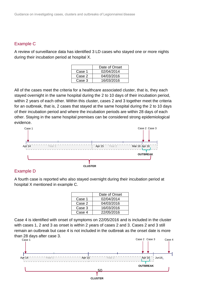#### <span id="page-49-0"></span>Example C

A review of surveillance data has identified 3 LD cases who stayed one or more nights during their incubation period at hospital X.

|        | Date of Onset |
|--------|---------------|
| Case 1 | 02/04/2014    |
| Case 2 | 04/03/2016    |
| Case 3 | 16/03/2016    |

All of the cases meet the criteria for a healthcare associated cluster, that is, they each stayed overnight in the same hospital during the 2 to 10 days of their incubation period, within 2 years of each other. Within this cluster, cases 2 and 3 together meet the criteria for an outbreak, that is, 2 cases that stayed at the same hospital during the 2 to 10 days of their incubation period and where the incubation periods are within 28 days of each other. Staying in the same hospital premises can be considered strong epidemiological evidence.



#### <span id="page-49-1"></span>Example D

A fourth case is reported who also stayed overnight during their incubation period at hospital X mentioned in example C.

|        | Date of Onset |
|--------|---------------|
| Case 1 | 02/04/2014    |
| Case 2 | 04/03/2016    |
| Case 3 | 16/03/2016    |
| Case 4 | 22/05/2016    |

Case 4 is identified with onset of symptoms on 22/05/2016 and is included in the cluster with cases 1, 2 and 3 as onset is within 2 years of cases 2 and 3. Cases 2 and 3 still remain an outbreak but case 4 is not included in the outbreak as the onset date is more than 28 days after case 3.

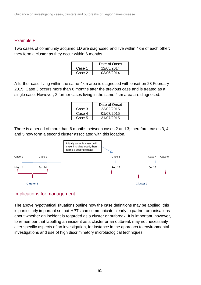#### <span id="page-50-0"></span>Example E

Two cases of community acquired LD are diagnosed and live within 4km of each other; they form a cluster as they occur within 6 months.

|        | Date of Onset |
|--------|---------------|
| Case 1 | 12/05/2014    |
| Case 2 | 03/06/2014    |

A further case living within the same 4km area is diagnosed with onset on 23 February 2015. Case 3 occurs more than 6 months after the previous case and is treated as a single case. However, 2 further cases living in the same 4km area are diagnosed.

|        | Date of Onset |
|--------|---------------|
| Case 3 | 23/02/2015    |
| Case 4 | 01/07/2015    |
| Case 5 | 31/07/2015    |

There is a period of more than 6 months between cases 2 and 3; therefore, cases 3, 4 and 5 now form a second cluster associated with this location.



#### <span id="page-50-1"></span>Implications for management

The above hypothetical situations outline how the case definitions may be applied; this is particularly important so that HPTs can communicate clearly to partner organisations about whether an incident is regarded as a cluster or outbreak. It is important, however, to remember that labelling an incident as a cluster or an outbreak may not necessarily alter specific aspects of an investigation, for instance in the approach to environmental investigations and use of high discriminatory microbiological techniques.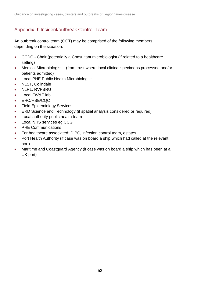## <span id="page-51-0"></span>Appendix 9: Incident/outbreak Control Team

<span id="page-51-1"></span>An outbreak control team (OCT) may be comprised of the following members, depending on the situation:

- CCDC Chair (potentially a Consultant microbiologist (if related to a healthcare setting)
- Medical Microbiologist (from trust where local clinical specimens processed and/or patients admitted)
- Local PHE Public Health Microbiologist
- NLST, Colindale
- NLRL, RVPBRU
- Local FW&E lab
- EHO/HSE/CQC
- Field Epidemiology Services
- ERD Science and Technology (if spatial analysis considered or required)
- Local authority public health team
- Local NHS services eg CCG
- PHE Communications
- For healthcare associated: DIPC, infection control team, estates
- Port Health Authority (if case was on board a ship which had called at the relevant port)
- Maritime and Coastguard Agency (if case was on board a ship which has been at a UK port)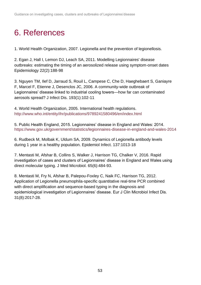# <span id="page-52-0"></span>6. References

1. World Health Organization, 2007. Legionella and the prevention of legionellosis.

2. Egan J, Hall I, Lemon DJ, Leach SA, 2011. Modelling Legionnaires' disease outbreaks: estimating the timing of an aerosolized release using symptom-onset dates Epidemiology 22(2):188-98

3. Nguyen TM, Ilef D, Jarraud S, Rouil L, Campese C, Che D, Haeghebaert S, Ganiayre F, Marcel F, Etienne J, Desenclos JC, 2006. A community-wide outbreak of Legionnaires' disease linked to industrial cooling towers—how far can contaminated aerosols spread? J Infect Dis. 193(1):102-11

4. World Health Organization, 2005. International health regulations. <http://www.who.int/entity/ihr/publications/9789241580496/en/index.html>

5. Public Health England, 2015. Legionnaires' disease in England and Wales: 2014. <https://www.gov.uk/government/statistics/legionnaires-disease-in-england-and-wales-2014>

6. Rudbeck M, Molbak K, Uldum SA, 2009. Dynamics of Legionella antibody levels during 1 year in a healthy population. Epidemiol Infect. 137:1013-18

7. Mentasti M, Afshar B, Collins S, Walker J, Harrison TG, Chalker V, 2016. Rapid investigation of cases and clusters of Legionnaires' disease in England and Wales using direct molecular typing. J Med Microbiol. 65(6):484-93.

8. Mentasti M, Fry N, Afshar B, Palepou-Foxley C, Naik FC, Harrison TG, 2012. Application of Legionella pneumophila-specific quantitative real-time PCR combined with direct amplification and sequence-based typing in the diagnosis and epidemiological investigation of Legionnaires' disease. Eur J Clin Microbiol Infect Dis. 31(8):2017-28.